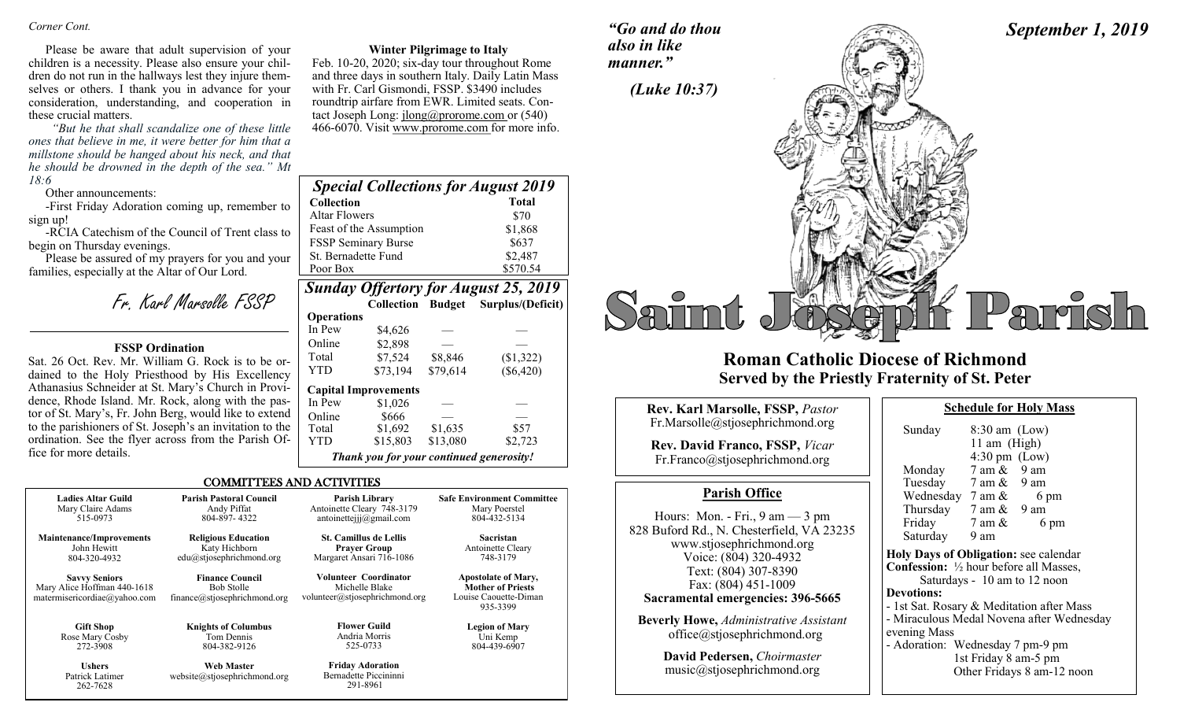#### *Corner Cont.*

Please be aware that adult supervision of your children is a necessity. Please also ensure your children do not run in the hallways lest they injure themselves or others. I thank you in advance for your consideration, understanding, and cooperation in these crucial matters.

 *"But he that shall scandalize one of these little ones that believe in me, it were better for him that a millstone should be hanged about his neck, and that he should be drowned in the depth of the sea." Mt 18:6*

Other announcements:

262-7628

-First Friday Adoration coming up, remember to sign up!

-RCIA Catechism of the Council of Trent class to begin on Thursday evenings.

Please be assured of my prayers for you and your families, especially at the Altar of Our Lord.

Fr. Karl Marsolle FSSP

#### **FSSP Ordination**

Sat. 26 Oct. Rev. Mr. William G. Rock is to be ordained to the Holy Priesthood by His Excellency Athanasius Schneider at St. Mary's Church in Providence, Rhode Island. Mr. Rock, along with the pastor of St. Mary's, Fr. John Berg, would like to extend to the parishioners of St. Joseph's an invitation to the ordination. See the flyer across from the Parish Office for more details.

### **Winter Pilgrimage to Italy**

Feb. 10-20, 2020; six-day tour throughout Rome and three days in southern Italy. Daily Latin Mass with Fr. Carl Gismondi, FSSP. \$3490 includes roundtrip airfare from EWR. Limited seats. Contact Joseph Long: *jlong@prorome.com* or (540) 466-6070. Visit www.prorome.com for more info.

| <b>Special Collections for August 2019</b> |              |  |
|--------------------------------------------|--------------|--|
| <b>Collection</b>                          | <b>Total</b> |  |
| <b>Altar Flowers</b>                       | \$70         |  |
| Feast of the Assumption                    | \$1,868      |  |
| FSSP Seminary Burse                        | \$637        |  |
| St. Bernadette Fund                        | \$2,487      |  |
| Poor Box                                   | \$570.54     |  |

| <b>Sunday Offertory for August 25, 2019</b> |                                          |          |                   |  |
|---------------------------------------------|------------------------------------------|----------|-------------------|--|
|                                             | <b>Collection Budget</b>                 |          | Surplus/(Deficit) |  |
| <b>Operations</b>                           |                                          |          |                   |  |
| In Pew                                      | \$4.626                                  |          |                   |  |
| Online                                      | \$2,898                                  |          |                   |  |
| Total                                       | \$7,524                                  | \$8,846  | (\$1,322)         |  |
| <b>YTD</b>                                  | \$73,194                                 | \$79,614 | $(\$6,420)$       |  |
|                                             | <b>Capital Improvements</b>              |          |                   |  |
| In Pew                                      | \$1,026                                  |          |                   |  |
| Online                                      | \$666                                    |          |                   |  |
| Total                                       | \$1,692                                  | \$1,635  | \$57              |  |
| <b>YTD</b>                                  | \$15,803                                 | \$13,080 | \$2,723           |  |
|                                             | Thank you for your continued generosity! |          |                   |  |

#### COMMITTEES AND ACTIVITIES

| <b>Ladies Altar Guild</b>                                                           | <b>Parish Pastoral Council</b>                                              | Parish Library                                                            | <b>Safe Environment Committee</b>                                                           |
|-------------------------------------------------------------------------------------|-----------------------------------------------------------------------------|---------------------------------------------------------------------------|---------------------------------------------------------------------------------------------|
| Mary Claire Adams                                                                   | Andy Piffat                                                                 | Antoinette Cleary 748-3179                                                | Mary Poerstel                                                                               |
| 515-0973                                                                            | 804-897-4322                                                                | antoinetteijj@gmail.com                                                   | 804-432-5134                                                                                |
| <b>Maintenance/Improvements</b>                                                     | <b>Religious Education</b>                                                  | <b>St. Camillus de Lellis</b>                                             | Sacristan                                                                                   |
| John Hewitt                                                                         | Katy Hichborn                                                               | <b>Prayer Group</b>                                                       | Antoinette Cleary                                                                           |
| 804-320-4932                                                                        | $edu(a)$ stjosephrichmond.org                                               | Margaret Ansari 716-1086                                                  | 748-3179                                                                                    |
| <b>Savvy Seniors</b><br>Mary Alice Hoffman 440-1618<br>matermisericordiae@yahoo.com | <b>Finance Council</b><br><b>Bob Stolle</b><br>finance@stjosephrichmond.org | Volunteer Coordinator<br>Michelle Blake<br>volunteer@stjosephrichmond.org | <b>Apostolate of Mary,</b><br><b>Mother of Priests</b><br>Louise Caouette-Diman<br>935-3399 |
| <b>Gift Shop</b>                                                                    | <b>Knights of Columbus</b>                                                  | <b>Flower Guild</b>                                                       | <b>Legion of Mary</b>                                                                       |
| Rose Mary Cosby                                                                     | Tom Dennis                                                                  | Andria Morris                                                             | Uni Kemp                                                                                    |
| 272-3908                                                                            | 804-382-9126                                                                | 525-0733                                                                  | 804-439-6907                                                                                |
| <b>Ushers</b>                                                                       | <b>Web Master</b>                                                           | <b>Friday Adoration</b>                                                   |                                                                                             |
| Patrick Latimer                                                                     | website@stjosephrichmond.org                                                | Bernadette Piccininni                                                     |                                                                                             |

291-8961





## **Roman Catholic Diocese of Richmond Served by the Priestly Fraternity of St. Peter**

| Rev. Karl Marsolle, FSSP, Pastor                                                                                           | <b>Schedule for Holy Mass</b>                                                                                                   |
|----------------------------------------------------------------------------------------------------------------------------|---------------------------------------------------------------------------------------------------------------------------------|
| Fr.Marsolle@stjosephrichmond.org                                                                                           | Sunday<br>$8:30$ am (Low)                                                                                                       |
| Rev. David Franco, FSSP, Vicar<br>Fr.Franco@stjosephrichmond.org                                                           | 11 am $(High)$<br>$4:30 \text{ pm}$ (Low)<br>7 am &<br>9 am<br>Monday                                                           |
| <b>Parish Office</b>                                                                                                       | Tuesday 7 am & 9 am<br>Wednesday $7 \text{ am } \& 6 \text{ pm}$                                                                |
| Hours: Mon. - Fri., $9 \text{ am} - 3 \text{ pm}$<br>828 Buford Rd., N. Chesterfield, VA 23235<br>www.stjosephrichmond.org | Thursday $7 \text{ am } \& 9 \text{ am}$<br>Friday<br>7 am &<br>6 pm<br>Saturday<br>9 am                                        |
| Voice: (804) 320-4932<br>Text: (804) 307-8390<br>Fax: (804) 451-1009                                                       | Holy Days of Obligation: see calenda<br><b>Confession:</b> $\frac{1}{2}$ hour before all Masses<br>Saturdays - 10 am to 12 noon |
| Sacramental emergencies: 396-5665                                                                                          | <b>Devotions:</b><br>- 1st Sat. Rosary & Meditation after M                                                                     |
| <b>Beverly Howe, Administrative Assistant</b><br>office@stjosephrichmond.org                                               | - Miraculous Medal Novena after Wed<br>evening Mass<br>- Adoration: Wednesday 7 pm-9 pm                                         |
| David Pedersen, Choirmaster<br>music@stjosephrichmond.org                                                                  | 1st Friday 8 am-5 pm<br>Other Fridavs 8 am-12 no                                                                                |

| Sunday                                                   | $8:30$ am (Low)                 |                                           |
|----------------------------------------------------------|---------------------------------|-------------------------------------------|
|                                                          | 11 am (High)                    |                                           |
|                                                          | $4:30 \text{ pm}$ (Low)         |                                           |
| Monday                                                   | $7 \text{ am } \& 9 \text{ am}$ |                                           |
| Tuesday                                                  | $7 \text{ am } \& 9 \text{ am}$ |                                           |
| Wednesday $7 \text{ am } \&$                             |                                 | 6 pm                                      |
| Thursday $7 \text{ am } \& 9 \text{ am}$                 |                                 |                                           |
| Friday                                                   | $7 \text{ am } \&$              | 6 pm                                      |
| Saturday                                                 | 9 am                            |                                           |
| <b>Holy Days of Obligation: see calendar</b>             |                                 |                                           |
|                                                          |                                 |                                           |
| <b>Confession:</b> $\frac{1}{2}$ hour before all Masses, |                                 |                                           |
|                                                          |                                 | Saturdays - 10 am to 12 noon              |
| <b>Devotions:</b>                                        |                                 |                                           |
| - 1st Sat. Rosary & Meditation after Mass                |                                 |                                           |
|                                                          |                                 | - Miraculous Medal Novena after Wednesday |
| evening Mass                                             |                                 |                                           |
| - Adoration: Wednesday 7 pm-9 pm                         |                                 |                                           |
|                                                          | 1st Friday 8 am-5 pm            |                                           |
|                                                          |                                 |                                           |

*September 1, 2019*

Other Fridays 8 am-12 noon